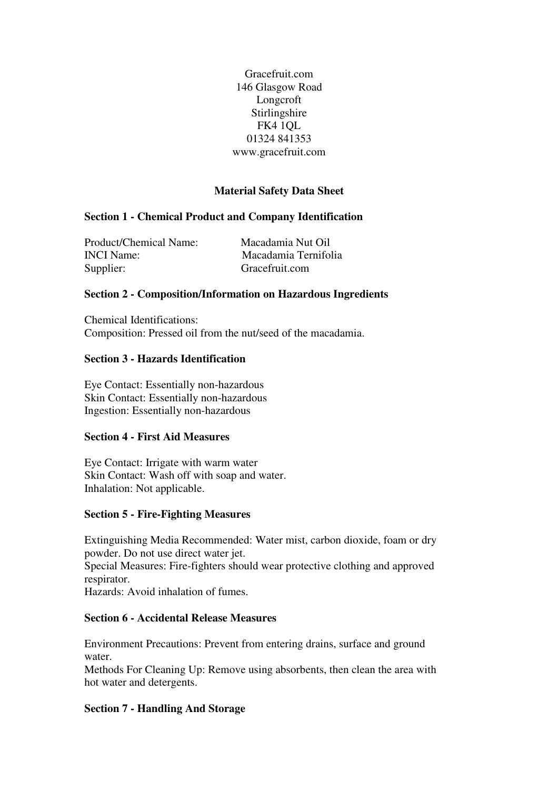Gracefruit.com 146 Glasgow Road Longcroft Stirlingshire FK4 1QL 01324 841353 www.gracefruit.com

# **Material Safety Data Sheet**

# **Section 1 - Chemical Product and Company Identification**

Product/Chemical Name: Macadamia Nut Oil INCI Name: Macadamia Ternifolia Supplier: Gracefruit.com

## **Section 2 - Composition/Information on Hazardous Ingredients**

Chemical Identifications: Composition: Pressed oil from the nut/seed of the macadamia.

## **Section 3 - Hazards Identification**

Eye Contact: Essentially non-hazardous Skin Contact: Essentially non-hazardous Ingestion: Essentially non-hazardous

#### **Section 4 - First Aid Measures**

Eye Contact: Irrigate with warm water Skin Contact: Wash off with soap and water. Inhalation: Not applicable.

#### **Section 5 - Fire-Fighting Measures**

Extinguishing Media Recommended: Water mist, carbon dioxide, foam or dry powder. Do not use direct water jet.

Special Measures: Fire-fighters should wear protective clothing and approved respirator.

Hazards: Avoid inhalation of fumes.

## **Section 6 - Accidental Release Measures**

Environment Precautions: Prevent from entering drains, surface and ground water.

Methods For Cleaning Up: Remove using absorbents, then clean the area with hot water and detergents.

#### **Section 7 - Handling And Storage**